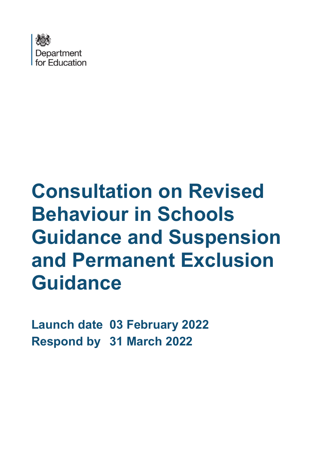

# **Consultation on Revised Behaviour in Schools Guidance and Suspension and Permanent Exclusion Guidance**

**Launch date 03 February 2022 Respond by 31 March 2022**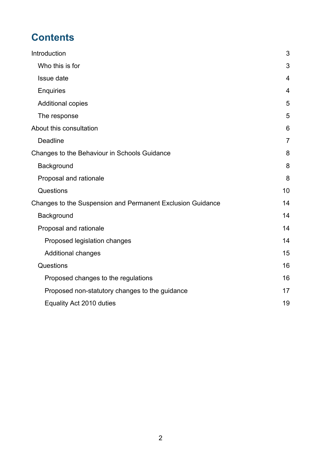# **Contents**

| Introduction                                               | 3              |
|------------------------------------------------------------|----------------|
| Who this is for                                            | 3              |
| Issue date                                                 | $\overline{4}$ |
| <b>Enquiries</b>                                           | 4              |
| <b>Additional copies</b>                                   | 5              |
| The response                                               | 5              |
| About this consultation                                    | 6              |
| <b>Deadline</b>                                            | $\overline{7}$ |
| Changes to the Behaviour in Schools Guidance               | 8              |
| Background                                                 | 8              |
| Proposal and rationale                                     | 8              |
| Questions                                                  | 10             |
| Changes to the Suspension and Permanent Exclusion Guidance | 14             |
| Background                                                 | 14             |
| Proposal and rationale                                     | 14             |
| Proposed legislation changes                               | 14             |
| <b>Additional changes</b>                                  | 15             |
| Questions                                                  | 16             |
| Proposed changes to the regulations                        | 16             |
| Proposed non-statutory changes to the guidance             | 17             |
| Equality Act 2010 duties                                   | 19             |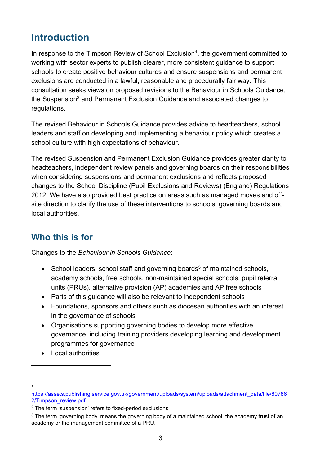# <span id="page-2-0"></span>**Introduction**

In response to the Timpson Review of School Exclusion<sup>1</sup>, the government committed to working with sector experts to publish clearer, more consistent guidance to support schools to create positive behaviour cultures and ensure suspensions and permanent exclusions are conducted in a lawful, reasonable and procedurally fair way. This consultation seeks views on proposed revisions to the Behaviour in Schools Guidance, the Suspension<sup>2</sup> and Permanent Exclusion Guidance and associated changes to regulations.

The revised Behaviour in Schools Guidance provides advice to headteachers, school leaders and staff on developing and implementing a behaviour policy which creates a school culture with high expectations of behaviour.

The revised Suspension and Permanent Exclusion Guidance provides greater clarity to headteachers, independent review panels and governing boards on their responsibilities when considering suspensions and permanent exclusions and reflects proposed changes to the School Discipline (Pupil Exclusions and Reviews) (England) Regulations 2012. We have also provided best practice on areas such as managed moves and offsite direction to clarify the use of these interventions to schools, governing boards and local authorities.

# <span id="page-2-1"></span>**Who this is for**

Changes to the *Behaviour in Schools Guidance*:

- School leaders, school staff and governing boards<sup>3</sup> of maintained schools, academy schools, free schools, non-maintained special schools, pupil referral units (PRUs), alternative provision (AP) academies and AP free schools
- Parts of this guidance will also be relevant to independent schools
- Foundations, sponsors and others such as diocesan authorities with an interest in the governance of schools
- Organisations supporting governing bodies to develop more effective governance, including training providers developing learning and development programmes for governance
- Local authorities

1

[https://assets.publishing.service.gov.uk/government/uploads/system/uploads/attachment\\_data/file/80786](https://assets.publishing.service.gov.uk/government/uploads/system/uploads/attachment_data/file/807862/Timpson_review.pdf) [2/Timpson\\_review.pdf](https://assets.publishing.service.gov.uk/government/uploads/system/uploads/attachment_data/file/807862/Timpson_review.pdf)

<sup>2</sup> The term 'suspension' refers to fixed-period exclusions

 $3$  The term 'governing body' means the governing body of a maintained school, the academy trust of an academy or the management committee of a PRU.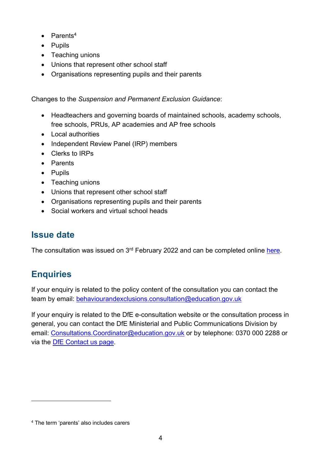- $\bullet$  Parents<sup>4</sup>
- Pupils
- Teaching unions
- Unions that represent other school staff
- Organisations representing pupils and their parents

Changes to the *Suspension and Permanent Exclusion Guidance*:

- Headteachers and governing boards of maintained schools, academy schools, free schools, PRUs, AP academies and AP free schools
- Local authorities
- Independent Review Panel (IRP) members
- Clerks to IRPs
- Parents
- Pupils
- Teaching unions
- Unions that represent other school staff
- Organisations representing pupils and their parents
- Social workers and virtual school heads

# <span id="page-3-0"></span>**Issue date**

The consultation was issued on 3<sup>rd</sup> February 2022 and can be completed online <u>here</u>.

# <span id="page-3-1"></span>**Enquiries**

If your enquiry is related to the policy content of the consultation you can contact the team by email: behaviourandexclusions.consultation@education.gov.uk

If your enquiry is related to the DfE e-consultation website or the consultation process in general, you can contact the DfE Ministerial and Public Communications Division by email: [Consultations.Coordinator@education.gov.uk](mailto:Coordinator.CONSULTATIONS@education.gov.uk) or by telephone: 0370 000 2288 or via the [DfE Contact us page.](https://www.education.gov.uk/help/contactus)

<sup>4</sup> The term 'parents' also includes carers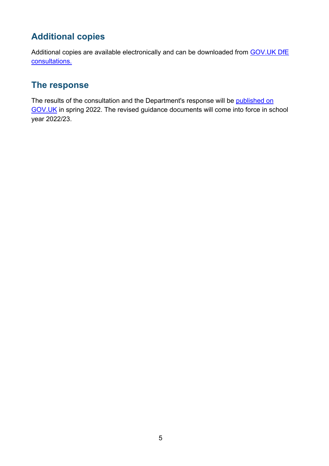# <span id="page-4-0"></span>**Additional copies**

Additional copies are available electronically and can be downloaded from GOV.UK DfE [consultations.](https://www.gov.uk/government/publications?keywords=&publication_filter_option=consultations&topics%5B%5D=all&departments%5B%5D=department-for-education&official_document_status=all&world_locations%5B%5D=all&from_date=&to_date=&commit=Refresh+results)

# <span id="page-4-1"></span>**The response**

The results of the consultation and the Department's response will be published on [GOV.UK](https://www.gov.uk/government/publications?departments%5B%5D=department-for-education&publication_filter_option=consultations) in spring 2022. The revised guidance documents will come into force in school year 2022/23.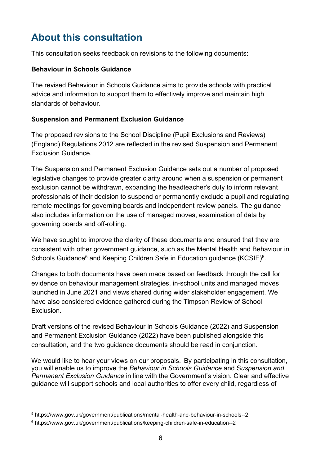# <span id="page-5-0"></span>**About this consultation**

This consultation seeks feedback on revisions to the following documents:

#### **Behaviour in Schools Guidance**

The revised Behaviour in Schools Guidance aims to provide schools with practical advice and information to support them to effectively improve and maintain high standards of behaviour.

#### **Suspension and Permanent Exclusion Guidance**

The proposed revisions to the School Discipline (Pupil Exclusions and Reviews) (England) Regulations 2012 are reflected in the revised Suspension and Permanent Exclusion Guidance.

The Suspension and Permanent Exclusion Guidance sets out a number of proposed legislative changes to provide greater clarity around when a suspension or permanent exclusion cannot be withdrawn, expanding the headteacher's duty to inform relevant professionals of their decision to suspend or permanently exclude a pupil and regulating remote meetings for governing boards and independent review panels. The guidance also includes information on the use of managed moves, examination of data by governing boards and off-rolling.

We have sought to improve the clarity of these documents and ensured that they are consistent with other government guidance, such as the Mental Health and Behaviour in Schools Guidance $^5$  and Keeping Children Safe in Education guidance (KCSIE) $^6$ .

Changes to both documents have been made based on feedback through the call for evidence on behaviour management strategies, in-school units and managed moves launched in June 2021 and views shared during wider stakeholder engagement. We have also considered evidence gathered during the Timpson Review of School Exclusion.

Draft versions of the revised Behaviour in Schools Guidance (2022) and Suspension and Permanent Exclusion Guidance (2022) have been published alongside this consultation, and the two guidance documents should be read in conjunction.

We would like to hear your views on our proposals. By participating in this consultation, you will enable us to improve the *Behaviour in Schools Guidance* and S*uspension and Permanent Exclusion Guidance* in line with the Government's vision. Clear and effective guidance will support schools and local authorities to offer every child, regardless of

<sup>5</sup> https://www.gov.uk/government/publications/mental-health-and-behaviour-in-schools--2

<sup>6</sup> https://www.gov.uk/government/publications/keeping-children-safe-in-education--2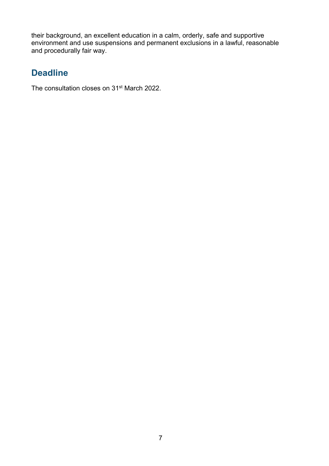their background, an excellent education in a calm, orderly, safe and supportive environment and use suspensions and permanent exclusions in a lawful, reasonable and procedurally fair way.

# <span id="page-6-0"></span>**Deadline**

The consultation closes on 31<sup>st</sup> March 2022.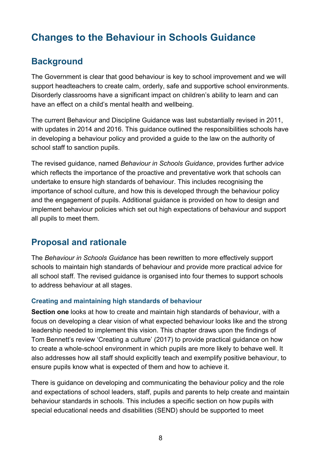# <span id="page-7-0"></span>**Changes to the Behaviour in Schools Guidance**

## <span id="page-7-1"></span>**Background**

The Government is clear that good behaviour is key to school improvement and we will support headteachers to create calm, orderly, safe and supportive school environments. Disorderly classrooms have a significant impact on children's ability to learn and can have an effect on a child's mental health and wellbeing.

The current Behaviour and Discipline Guidance was last substantially revised in 2011, with updates in 2014 and 2016. This guidance outlined the responsibilities schools have in developing a behaviour policy and provided a guide to the law on the authority of school staff to sanction pupils.

The revised guidance, named *Behaviour in Schools Guidance*, provides further advice which reflects the importance of the proactive and preventative work that schools can undertake to ensure high standards of behaviour. This includes recognising the importance of school culture, and how this is developed through the behaviour policy and the engagement of pupils. Additional guidance is provided on how to design and implement behaviour policies which set out high expectations of behaviour and support all pupils to meet them.

## <span id="page-7-2"></span>**Proposal and rationale**

The *Behaviour in Schools Guidance* has been rewritten to more effectively support schools to maintain high standards of behaviour and provide more practical advice for all school staff. The revised guidance is organised into four themes to support schools to address behaviour at all stages.

#### **Creating and maintaining high standards of behaviour**

**Section one** looks at how to create and maintain high standards of behaviour, with a focus on developing a clear vision of what expected behaviour looks like and the strong leadership needed to implement this vision. This chapter draws upon the findings of Tom Bennett's review 'Creating a culture' (2017) to provide practical guidance on how to create a whole-school environment in which pupils are more likely to behave well. It also addresses how all staff should explicitly teach and exemplify positive behaviour, to ensure pupils know what is expected of them and how to achieve it.

There is guidance on developing and communicating the behaviour policy and the role and expectations of school leaders, staff, pupils and parents to help create and maintain behaviour standards in schools. This includes a specific section on how pupils with special educational needs and disabilities (SEND) should be supported to meet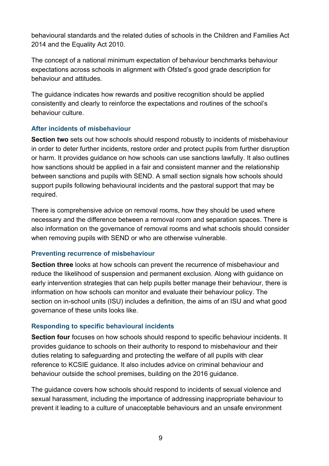behavioural standards and the related duties of schools in the Children and Families Act 2014 and the Equality Act 2010.

The concept of a national minimum expectation of behaviour benchmarks behaviour expectations across schools in alignment with Ofsted's good grade description for behaviour and attitudes.

The guidance indicates how rewards and positive recognition should be applied consistently and clearly to reinforce the expectations and routines of the school's behaviour culture.

#### **After incidents of misbehaviour**

**Section two** sets out how schools should respond robustly to incidents of misbehaviour in order to deter further incidents, restore order and protect pupils from further disruption or harm. It provides guidance on how schools can use sanctions lawfully. It also outlines how sanctions should be applied in a fair and consistent manner and the relationship between sanctions and pupils with SEND. A small section signals how schools should support pupils following behavioural incidents and the pastoral support that may be required.

There is comprehensive advice on removal rooms, how they should be used where necessary and the difference between a removal room and separation spaces. There is also information on the governance of removal rooms and what schools should consider when removing pupils with SEND or who are otherwise vulnerable.

#### **Preventing recurrence of misbehaviour**

**Section three** looks at how schools can prevent the recurrence of misbehaviour and reduce the likelihood of suspension and permanent exclusion. Along with guidance on early intervention strategies that can help pupils better manage their behaviour, there is information on how schools can monitor and evaluate their behaviour policy. The section on in-school units (ISU) includes a definition, the aims of an ISU and what good governance of these units looks like.

#### **Responding to specific behavioural incidents**

**Section four** focuses on how schools should respond to specific behaviour incidents. It provides guidance to schools on their authority to respond to misbehaviour and their duties relating to safeguarding and protecting the welfare of all pupils with clear reference to KCSIE guidance. It also includes advice on criminal behaviour and behaviour outside the school premises, building on the 2016 guidance.

The guidance covers how schools should respond to incidents of sexual violence and sexual harassment, including the importance of addressing inappropriate behaviour to prevent it leading to a culture of unacceptable behaviours and an unsafe environment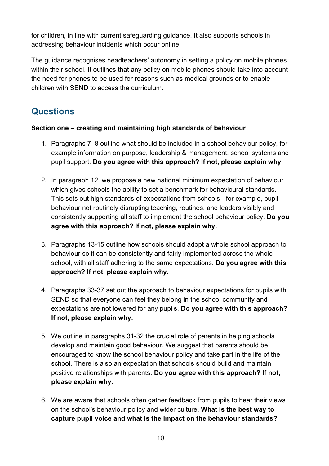for children, in line with current safeguarding guidance. It also supports schools in addressing behaviour incidents which occur online.

The guidance recognises headteachers' autonomy in setting a policy on mobile phones within their school. It outlines that any policy on mobile phones should take into account the need for phones to be used for reasons such as medical grounds or to enable children with SEND to access the curriculum.

# <span id="page-9-0"></span>**Questions**

#### **Section one – creating and maintaining high standards of behaviour**

- 1. Paragraphs 7–8 outline what should be included in a school behaviour policy, for example information on purpose, leadership & management, school systems and pupil support. **Do you agree with this approach? If not, please explain why.**
- 2. In paragraph 12, we propose a new national minimum expectation of behaviour which gives schools the ability to set a benchmark for behavioural standards. This sets out high standards of expectations from schools - for example, pupil behaviour not routinely disrupting teaching, routines, and leaders visibly and consistently supporting all staff to implement the school behaviour policy. **Do you agree with this approach? If not, please explain why.**
- 3. Paragraphs 13-15 outline how schools should adopt a whole school approach to behaviour so it can be consistently and fairly implemented across the whole school, with all staff adhering to the same expectations. **Do you agree with this approach? If not, please explain why.**
- 4. Paragraphs 33-37 set out the approach to behaviour expectations for pupils with SEND so that everyone can feel they belong in the school community and expectations are not lowered for any pupils. **Do you agree with this approach? If not, please explain why.**
- 5. We outline in paragraphs 31-32 the crucial role of parents in helping schools develop and maintain good behaviour. We suggest that parents should be encouraged to know the school behaviour policy and take part in the life of the school. There is also an expectation that schools should build and maintain positive relationships with parents. **Do you agree with this approach? If not, please explain why.**
- 6. We are aware that schools often gather feedback from pupils to hear their views on the school's behaviour policy and wider culture. **What is the best way to capture pupil voice and what is the impact on the behaviour standards?**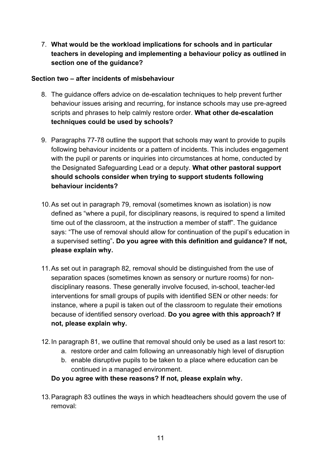7. **What would be the workload implications for schools and in particular teachers in developing and implementing a behaviour policy as outlined in section one of the guidance?**

#### **Section two – after incidents of misbehaviour**

- 8. The guidance offers advice on de-escalation techniques to help prevent further behaviour issues arising and recurring, for instance schools may use pre-agreed scripts and phrases to help calmly restore order. **What other de-escalation techniques could be used by schools?**
- 9. Paragraphs 77-78 outline the support that schools may want to provide to pupils following behaviour incidents or a pattern of incidents. This includes engagement with the pupil or parents or inquiries into circumstances at home, conducted by the Designated Safeguarding Lead or a deputy. **What other pastoral support should schools consider when trying to support students following behaviour incidents?**
- 10.As set out in paragraph 79, removal (sometimes known as isolation) is now defined as "where a pupil, for disciplinary reasons, is required to spend a limited time out of the classroom, at the instruction a member of staff". The guidance says: "The use of removal should allow for continuation of the pupil's education in a supervised setting"**. Do you agree with this definition and guidance? If not, please explain why.**
- 11.As set out in paragraph 82, removal should be distinguished from the use of separation spaces (sometimes known as sensory or nurture rooms) for nondisciplinary reasons. These generally involve focused, in-school, teacher-led interventions for small groups of pupils with identified SEN or other needs: for instance, where a pupil is taken out of the classroom to regulate their emotions because of identified sensory overload. **Do you agree with this approach? If not, please explain why.**
- 12.In paragraph 81, we outline that removal should only be used as a last resort to:
	- a. restore order and calm following an unreasonably high level of disruption
	- b. enable disruptive pupils to be taken to a place where education can be continued in a managed environment.

**Do you agree with these reasons? If not, please explain why.**

13.Paragraph 83 outlines the ways in which headteachers should govern the use of removal: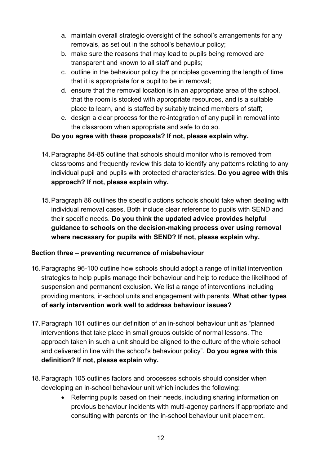- a. maintain overall strategic oversight of the school's arrangements for any removals, as set out in the school's behaviour policy;
- b. make sure the reasons that may lead to pupils being removed are transparent and known to all staff and pupils;
- c. outline in the behaviour policy the principles governing the length of time that it is appropriate for a pupil to be in removal;
- d. ensure that the removal location is in an appropriate area of the school, that the room is stocked with appropriate resources, and is a suitable place to learn, and is staffed by suitably trained members of staff;
- e. design a clear process for the re-integration of any pupil in removal into the classroom when appropriate and safe to do so.

#### **Do you agree with these proposals? If not, please explain why.**

- 14.Paragraphs 84-85 outline that schools should monitor who is removed from classrooms and frequently review this data to identify any patterns relating to any individual pupil and pupils with protected characteristics. **Do you agree with this approach? If not, please explain why.**
- 15.Paragraph 86 outlines the specific actions schools should take when dealing with individual removal cases. Both include clear reference to pupils with SEND and their specific needs. **Do you think the updated advice provides helpful guidance to schools on the decision-making process over using removal where necessary for pupils with SEND? If not, please explain why.**

#### **Section three – preventing recurrence of misbehaviour**

- 16.Paragraphs 96-100 outline how schools should adopt a range of initial intervention strategies to help pupils manage their behaviour and help to reduce the likelihood of suspension and permanent exclusion. We list a range of interventions including providing mentors, in-school units and engagement with parents. **What other types of early intervention work well to address behaviour issues?**
- 17.Paragraph 101 outlines our definition of an in-school behaviour unit as "planned interventions that take place in small groups outside of normal lessons. The approach taken in such a unit should be aligned to the culture of the whole school and delivered in line with the school's behaviour policy". **Do you agree with this definition? If not, please explain why.**
- 18.Paragraph 105 outlines factors and processes schools should consider when developing an in-school behaviour unit which includes the following:
	- Referring pupils based on their needs, including sharing information on previous behaviour incidents with multi-agency partners if appropriate and consulting with parents on the in-school behaviour unit placement.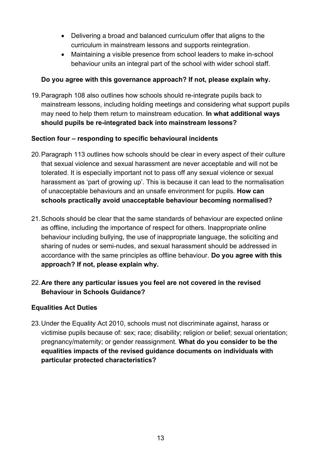- Delivering a broad and balanced curriculum offer that aligns to the curriculum in mainstream lessons and supports reintegration.
- Maintaining a visible presence from school leaders to make in-school behaviour units an integral part of the school with wider school staff.

#### **Do you agree with this governance approach? If not, please explain why.**

19.Paragraph 108 also outlines how schools should re-integrate pupils back to mainstream lessons, including holding meetings and considering what support pupils may need to help them return to mainstream education. **In what additional ways should pupils be re-integrated back into mainstream lessons?**

#### **Section four – responding to specific behavioural incidents**

- 20.Paragraph 113 outlines how schools should be clear in every aspect of their culture that sexual violence and sexual harassment are never acceptable and will not be tolerated. It is especially important not to pass off any sexual violence or sexual harassment as 'part of growing up'. This is because it can lead to the normalisation of unacceptable behaviours and an unsafe environment for pupils. **How can schools practically avoid unacceptable behaviour becoming normalised?**
- 21.Schools should be clear that the same standards of behaviour are expected online as offline, including the importance of respect for others. Inappropriate online behaviour including bullying, the use of inappropriate language, the soliciting and sharing of nudes or semi-nudes, and sexual harassment should be addressed in accordance with the same principles as offline behaviour. **Do you agree with this approach? If not, please explain why.**
- 22.**Are there any particular issues you feel are not covered in the revised Behaviour in Schools Guidance?**

#### **Equalities Act Duties**

23.Under the Equality Act 2010, schools must not discriminate against, harass or victimise pupils because of: sex; race; disability; religion or belief; sexual orientation; pregnancy/maternity; or gender reassignment. **What do you consider to be the equalities impacts of the revised guidance documents on individuals with particular protected characteristics?**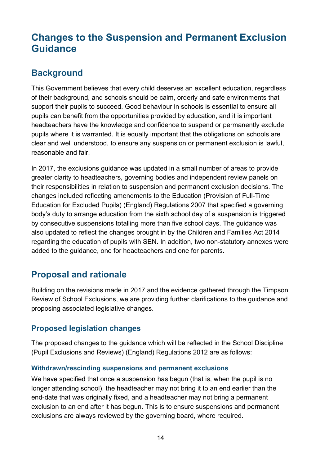# <span id="page-13-0"></span>**Changes to the Suspension and Permanent Exclusion Guidance**

## <span id="page-13-1"></span>**Background**

This Government believes that every child deserves an excellent education, regardless of their background, and schools should be calm, orderly and safe environments that support their pupils to succeed. Good behaviour in schools is essential to ensure all pupils can benefit from the opportunities provided by education, and it is important headteachers have the knowledge and confidence to suspend or permanently exclude pupils where it is warranted. It is equally important that the obligations on schools are clear and well understood, to ensure any suspension or permanent exclusion is lawful, reasonable and fair.

In 2017, the exclusions guidance was updated in a small number of areas to provide greater clarity to headteachers, governing bodies and independent review panels on their responsibilities in relation to suspension and permanent exclusion decisions. The changes included reflecting amendments to the Education (Provision of Full-Time Education for Excluded Pupils) (England) Regulations 2007 that specified a governing body's duty to arrange education from the sixth school day of a suspension is triggered by consecutive suspensions totalling more than five school days. The guidance was also updated to reflect the changes brought in by the Children and Families Act 2014 regarding the education of pupils with SEN. In addition, two non-statutory annexes were added to the guidance, one for headteachers and one for parents.

# <span id="page-13-2"></span>**Proposal and rationale**

Building on the revisions made in 2017 and the evidence gathered through the Timpson Review of School Exclusions, we are providing further clarifications to the guidance and proposing associated legislative changes.

#### <span id="page-13-3"></span>**Proposed legislation changes**

The proposed changes to the guidance which will be reflected in the School Discipline (Pupil Exclusions and Reviews) (England) Regulations 2012 are as follows:

#### **Withdrawn/rescinding suspensions and permanent exclusions**

We have specified that once a suspension has begun (that is, when the pupil is no longer attending school), the headteacher may not bring it to an end earlier than the end-date that was originally fixed, and a headteacher may not bring a permanent exclusion to an end after it has begun. This is to ensure suspensions and permanent exclusions are always reviewed by the governing board, where required.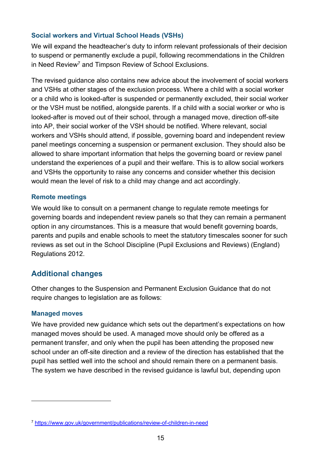#### **Social workers and Virtual School Heads (VSHs)**

We will expand the headteacher's duty to inform relevant professionals of their decision to suspend or permanently exclude a pupil, following recommendations in the Children in Need Review<sup>7</sup> and Timpson Review of School Exclusions.

The revised guidance also contains new advice about the involvement of social workers and VSHs at other stages of the exclusion process. Where a child with a social worker or a child who is looked-after is suspended or permanently excluded, their social worker or the VSH must be notified, alongside parents. If a child with a social worker or who is looked-after is moved out of their school, through a managed move, direction off-site into AP, their social worker of the VSH should be notified. Where relevant, social workers and VSHs should attend, if possible, governing board and independent review panel meetings concerning a suspension or permanent exclusion. They should also be allowed to share important information that helps the governing board or review panel understand the experiences of a pupil and their welfare. This is to allow social workers and VSHs the opportunity to raise any concerns and consider whether this decision would mean the level of risk to a child may change and act accordingly.

#### **Remote meetings**

We would like to consult on a permanent change to regulate remote meetings for governing boards and independent review panels so that they can remain a permanent option in any circumstances. This is a measure that would benefit governing boards, parents and pupils and enable schools to meet the statutory timescales sooner for such reviews as set out in the School Discipline (Pupil Exclusions and Reviews) (England) Regulations 2012.

#### <span id="page-14-0"></span>**Additional changes**

Other changes to the Suspension and Permanent Exclusion Guidance that do not require changes to legislation are as follows:

#### **Managed moves**

We have provided new guidance which sets out the department's expectations on how managed moves should be used. A managed move should only be offered as a permanent transfer, and only when the pupil has been attending the proposed new school under an off-site direction and a review of the direction has established that the pupil has settled well into the school and should remain there on a permanent basis. The system we have described in the revised guidance is lawful but, depending upon

<sup>7</sup> <https://www.gov.uk/government/publications/review-of-children-in-need>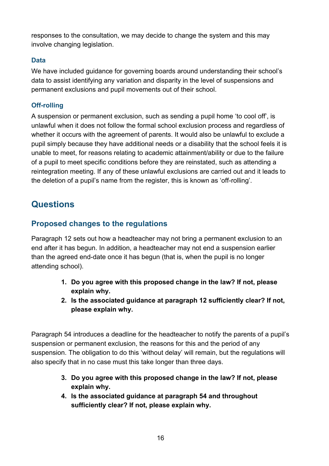responses to the consultation, we may decide to change the system and this may involve changing legislation.

#### **Data**

We have included guidance for governing boards around understanding their school's data to assist identifying any variation and disparity in the level of suspensions and permanent exclusions and pupil movements out of their school.

#### **Off-rolling**

A suspension or permanent exclusion, such as sending a pupil home 'to cool off', is unlawful when it does not follow the formal school exclusion process and regardless of whether it occurs with the agreement of parents. It would also be unlawful to exclude a pupil simply because they have additional needs or a disability that the school feels it is unable to meet, for reasons relating to academic attainment/ability or due to the failure of a pupil to meet specific conditions before they are reinstated, such as attending a reintegration meeting. If any of these unlawful exclusions are carried out and it leads to the deletion of a pupil's name from the register, this is known as 'off-rolling'.

## <span id="page-15-0"></span>**Questions**

#### <span id="page-15-1"></span>**Proposed changes to the regulations**

Paragraph 12 sets out how a headteacher may not bring a permanent exclusion to an end after it has begun. In addition, a headteacher may not end a suspension earlier than the agreed end-date once it has begun (that is, when the pupil is no longer attending school).

- **1. Do you agree with this proposed change in the law? If not, please explain why.**
- **2. Is the associated guidance at paragraph 12 sufficiently clear? If not, please explain why.**

Paragraph 54 introduces a deadline for the headteacher to notify the parents of a pupil's suspension or permanent exclusion, the reasons for this and the period of any suspension. The obligation to do this 'without delay' will remain, but the regulations will also specify that in no case must this take longer than three days.

- **3. Do you agree with this proposed change in the law? If not, please explain why.**
- **4. Is the associated guidance at paragraph 54 and throughout sufficiently clear? If not, please explain why.**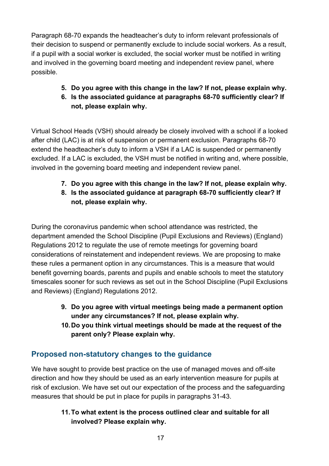Paragraph 68-70 expands the headteacher's duty to inform relevant professionals of their decision to suspend or permanently exclude to include social workers. As a result, if a pupil with a social worker is excluded, the social worker must be notified in writing and involved in the governing board meeting and independent review panel, where possible.

- **5. Do you agree with this change in the law? If not, please explain why.**
- **6. Is the associated guidance at paragraphs 68-70 sufficiently clear? If not, please explain why.**

Virtual School Heads (VSH) should already be closely involved with a school if a looked after child (LAC) is at risk of suspension or permanent exclusion. Paragraphs 68-70 extend the headteacher's duty to inform a VSH if a LAC is suspended or permanently excluded. If a LAC is excluded, the VSH must be notified in writing and, where possible, involved in the governing board meeting and independent review panel.

- **7. Do you agree with this change in the law? If not, please explain why.**
- **8. Is the associated guidance at paragraph 68-70 sufficiently clear? If not, please explain why.**

During the coronavirus pandemic when school attendance was restricted, the department amended the School Discipline (Pupil Exclusions and Reviews) (England) Regulations 2012 to regulate the use of remote meetings for governing board considerations of reinstatement and independent reviews. We are proposing to make these rules a permanent option in any circumstances. This is a measure that would benefit governing boards, parents and pupils and enable schools to meet the statutory timescales sooner for such reviews as set out in the School Discipline (Pupil Exclusions and Reviews) (England) Regulations 2012.

- **9. Do you agree with virtual meetings being made a permanent option under any circumstances? If not, please explain why.**
- **10.Do you think virtual meetings should be made at the request of the parent only? Please explain why.**

# <span id="page-16-0"></span>**Proposed non-statutory changes to the guidance**

We have sought to provide best practice on the use of managed moves and off-site direction and how they should be used as an early intervention measure for pupils at risk of exclusion. We have set out our expectation of the process and the safeguarding measures that should be put in place for pupils in paragraphs 31-43.

#### **11.To what extent is the process outlined clear and suitable for all involved? Please explain why.**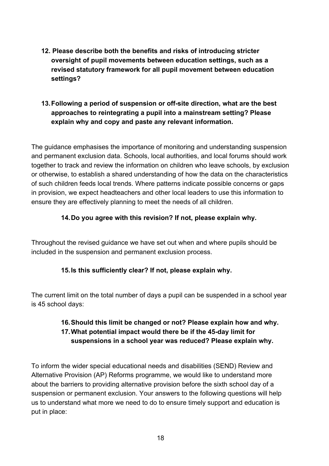**12. Please describe both the benefits and risks of introducing stricter oversight of pupil movements between education settings, such as a revised statutory framework for all pupil movement between education settings?**

#### **13.Following a period of suspension or off-site direction, what are the best approaches to reintegrating a pupil into a mainstream setting? Please explain why and copy and paste any relevant information.**

The guidance emphasises the importance of monitoring and understanding suspension and permanent exclusion data. Schools, local authorities, and local forums should work together to track and review the information on children who leave schools, by exclusion or otherwise, to establish a shared understanding of how the data on the characteristics of such children feeds local trends. Where patterns indicate possible concerns or gaps in provision, we expect headteachers and other local leaders to use this information to ensure they are effectively planning to meet the needs of all children.

#### **14.Do you agree with this revision? If not, please explain why.**

Throughout the revised guidance we have set out when and where pupils should be included in the suspension and permanent exclusion process.

#### **15.Is this sufficiently clear? If not, please explain why.**

The current limit on the total number of days a pupil can be suspended in a school year is 45 school days:

#### **16.Should this limit be changed or not? Please explain how and why. 17.What potential impact would there be if the 45-day limit for suspensions in a school year was reduced? Please explain why.**

To inform the wider special educational needs and disabilities (SEND) Review and Alternative Provision (AP) Reforms programme, we would like to understand more about the barriers to providing alternative provision before the sixth school day of a suspension or permanent exclusion. Your answers to the following questions will help us to understand what more we need to do to ensure timely support and education is put in place: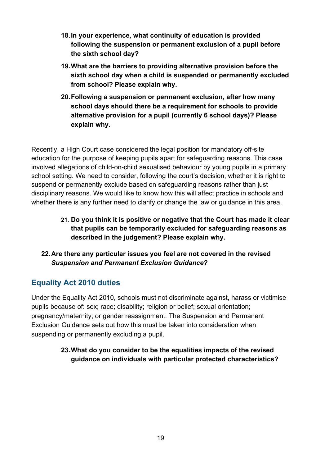- **18.In your experience, what continuity of education is provided following the suspension or permanent exclusion of a pupil before the sixth school day?**
- **19.What are the barriers to providing alternative provision before the sixth school day when a child is suspended or permanently excluded from school? Please explain why.**
- **20.Following a suspension or permanent exclusion, after how many school days should there be a requirement for schools to provide alternative provision for a pupil (currently 6 school days)? Please explain why.**

Recently, a High Court case considered the legal position for mandatory off-site education for the purpose of keeping pupils apart for safeguarding reasons. This case involved allegations of child-on-child sexualised behaviour by young pupils in a primary school setting. We need to consider, following the court's decision, whether it is right to suspend or permanently exclude based on safeguarding reasons rather than just disciplinary reasons. We would like to know how this will affect practice in schools and whether there is any further need to clarify or change the law or guidance in this area.

- **21. Do you think it is positive or negative that the Court has made it clear that pupils can be temporarily excluded for safeguarding reasons as described in the judgement? Please explain why.**
- **22.Are there any particular issues you feel are not covered in the revised**  *Suspension and Permanent Exclusion Guidance***?**

## <span id="page-18-0"></span>**Equality Act 2010 duties**

Under the Equality Act 2010, schools must not discriminate against, harass or victimise pupils because of: sex; race; disability; religion or belief; sexual orientation; pregnancy/maternity; or gender reassignment. The Suspension and Permanent Exclusion Guidance sets out how this must be taken into consideration when suspending or permanently excluding a pupil.

> **23.What do you consider to be the equalities impacts of the revised guidance on individuals with particular protected characteristics?**